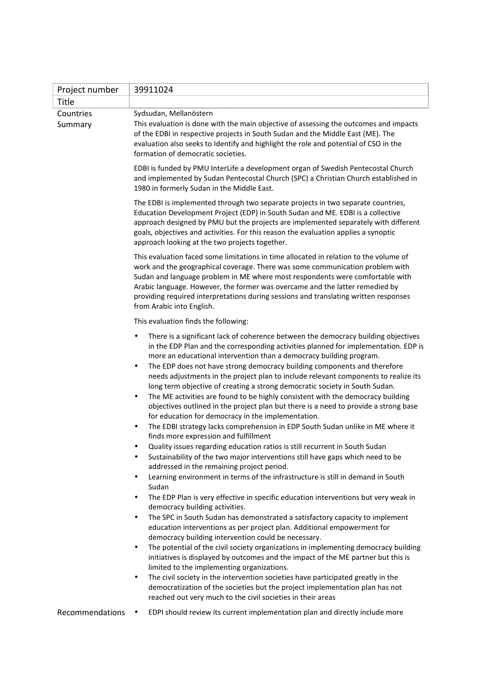| Project number       | 39911024                                                                                                                                                                                                                                                                                                                                                                                                                                                                                                                                                                                                                                                                                                                                                                                                                                                                                   |
|----------------------|--------------------------------------------------------------------------------------------------------------------------------------------------------------------------------------------------------------------------------------------------------------------------------------------------------------------------------------------------------------------------------------------------------------------------------------------------------------------------------------------------------------------------------------------------------------------------------------------------------------------------------------------------------------------------------------------------------------------------------------------------------------------------------------------------------------------------------------------------------------------------------------------|
| Title                |                                                                                                                                                                                                                                                                                                                                                                                                                                                                                                                                                                                                                                                                                                                                                                                                                                                                                            |
| Countries<br>Summary | Sydsudan, Mellanöstern<br>This evaluation is done with the main objective of assessing the outcomes and impacts<br>of the EDBI in respective projects in South Sudan and the Middle East (ME). The<br>evaluation also seeks to Identify and highlight the role and potential of CSO in the<br>formation of democratic societies.                                                                                                                                                                                                                                                                                                                                                                                                                                                                                                                                                           |
|                      | EDBI is funded by PMU InterLife a development organ of Swedish Pentecostal Church<br>and implemented by Sudan Pentecostal Church (SPC) a Christian Church established in<br>1980 in formerly Sudan in the Middle East.                                                                                                                                                                                                                                                                                                                                                                                                                                                                                                                                                                                                                                                                     |
|                      | The EDBI is implemented through two separate projects in two separate countries,<br>Education Development Project (EDP) in South Sudan and ME. EDBI is a collective<br>approach designed by PMU but the projects are implemented separately with different<br>goals, objectives and activities. For this reason the evaluation applies a synoptic<br>approach looking at the two projects together.                                                                                                                                                                                                                                                                                                                                                                                                                                                                                        |
|                      | This evaluation faced some limitations in time allocated in relation to the volume of<br>work and the geographical coverage. There was some communication problem with<br>Sudan and language problem in ME where most respondents were comfortable with<br>Arabic language. However, the former was overcame and the latter remedied by<br>providing required interpretations during sessions and translating written responses<br>from Arabic into English.                                                                                                                                                                                                                                                                                                                                                                                                                               |
|                      | This evaluation finds the following:                                                                                                                                                                                                                                                                                                                                                                                                                                                                                                                                                                                                                                                                                                                                                                                                                                                       |
|                      | There is a significant lack of coherence between the democracy building objectives<br>$\bullet$<br>in the EDP Plan and the corresponding activities planned for implementation. EDP is<br>more an educational intervention than a democracy building program.<br>The EDP does not have strong democracy building components and therefore<br>٠<br>needs adjustments in the project plan to include relevant components to realize its<br>long term objective of creating a strong democratic society in South Sudan.<br>The ME activities are found to be highly consistent with the democracy building<br>٠<br>objectives outlined in the project plan but there is a need to provide a strong base<br>for education for democracy in the implementation.<br>The EDBI strategy lacks comprehension in EDP South Sudan unlike in ME where it<br>٠<br>finds more expression and fulfillment |
|                      | Quality issues regarding education ratios is still recurrent in South Sudan<br>Sustainability of the two major interventions still have gaps which need to be<br>addressed in the remaining project period.<br>Learning environment in terms of the infrastructure is still in demand in South<br>$\bullet$<br>Sudan                                                                                                                                                                                                                                                                                                                                                                                                                                                                                                                                                                       |
|                      | The EDP Plan is very effective in specific education interventions but very weak in<br>$\bullet$<br>democracy building activities.<br>The SPC in South Sudan has demonstrated a satisfactory capacity to implement<br>$\bullet$<br>education interventions as per project plan. Additional empowerment for<br>democracy building intervention could be necessary.<br>The potential of the civil society organizations in implementing democracy building<br>$\bullet$<br>initiatives is displayed by outcomes and the impact of the ME partner but this is                                                                                                                                                                                                                                                                                                                                 |
|                      | limited to the implementing organizations.<br>The civil society in the intervention societies have participated greatly in the<br>٠<br>democratization of the societies but the project implementation plan has not<br>reached out very much to the civil societies in their areas                                                                                                                                                                                                                                                                                                                                                                                                                                                                                                                                                                                                         |
| Recommendations      | EDPI should review its current implementation plan and directly include more<br>$\bullet$                                                                                                                                                                                                                                                                                                                                                                                                                                                                                                                                                                                                                                                                                                                                                                                                  |